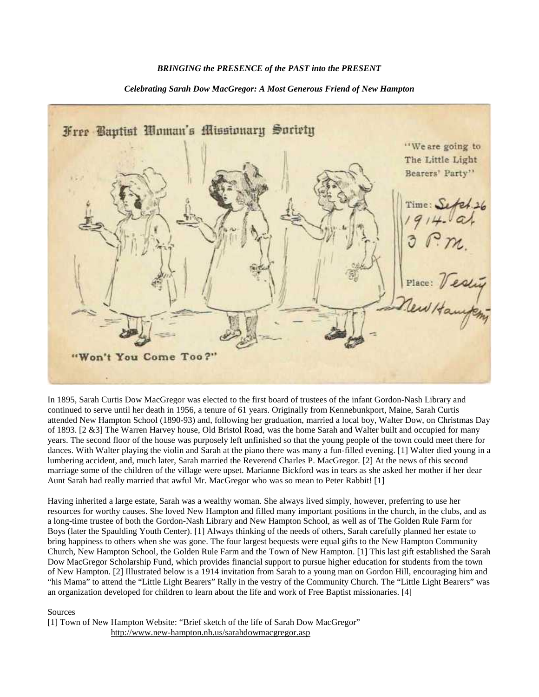## *BRINGING the PRESENCE of the PAST into the PRESENT*

## *Celebrating Sarah Dow MacGregor: A Most Generous Friend of New Hampton*



In 1895, Sarah Curtis Dow MacGregor was elected to the first board of trustees of the infant Gordon-Nash Library and continued to serve until her death in 1956, a tenure of 61 years. Originally from Kennebunkport, Maine, Sarah Curtis attended New Hampton School (1890-93) and, following her graduation, married a local boy, Walter Dow, on Christmas Day of 1893. [2 &3] The Warren Harvey house, Old Bristol Road, was the home Sarah and Walter built and occupied for many years. The second floor of the house was purposely left unfinished so that the young people of the town could meet there for dances. With Walter playing the violin and Sarah at the piano there was many a fun-filled evening. [1] Walter died young in a lumbering accident, and, much later, Sarah married the Reverend Charles P. MacGregor. [2] At the news of this second marriage some of the children of the village were upset. Marianne Bickford was in tears as she asked her mother if her dear Aunt Sarah had really married that awful Mr. MacGregor who was so mean to Peter Rabbit! [1]

Having inherited a large estate, Sarah was a wealthy woman. She always lived simply, however, preferring to use her resources for worthy causes. She loved New Hampton and filled many important positions in the church, in the clubs, and as a long-time trustee of both the Gordon-Nash Library and New Hampton School, as well as of The Golden Rule Farm for Boys (later the Spaulding Youth Center). [1] Always thinking of the needs of others, Sarah carefully planned her estate to bring happiness to others when she was gone. The four largest bequests were equal gifts to the New Hampton Community Church, New Hampton School, the Golden Rule Farm and the Town of New Hampton. [1] This last gift established the Sarah Dow MacGregor Scholarship Fund, which provides financial support to pursue higher education for students from the town of New Hampton. [2] Illustrated below is a 1914 invitation from Sarah to a young man on Gordon Hill, encouraging him and "his Mama" to attend the "Little Light Bearers" Rally in the vestry of the Community Church. The "Little Light Bearers" was an organization developed for children to learn about the life and work of Free Baptist missionaries. [4]

## Sources

[1] Town of New Hampton Website: "Brief sketch of the life of Sarah Dow MacGregor" http://www.new-hampton.nh.us/sarahdowmacgregor.asp